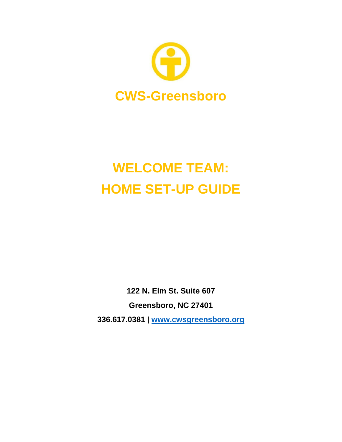

# **WELCOME TEAM: HOME SET-UP GUIDE**

**122 N. Elm St. Suite 607 Greensboro, NC 27401 336.617.0381 ǀ [www.cwsgreensboro.org](http://www.cwsgreensboro.org/)**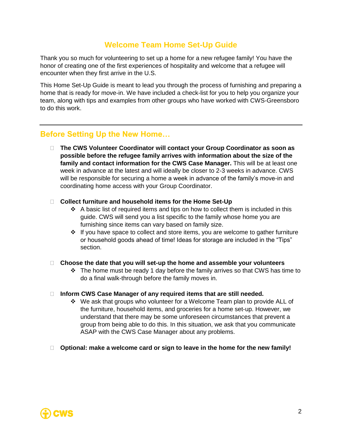# **Welcome Team Home Set-Up Guide**

Thank you so much for volunteering to set up a home for a new refugee family! You have the honor of creating one of the first experiences of hospitality and welcome that a refugee will encounter when they first arrive in the U.S.

This Home Set-Up Guide is meant to lead you through the process of furnishing and preparing a home that is ready for move-in. We have included a check-list for you to help you organize your team, along with tips and examples from other groups who have worked with CWS-Greensboro to do this work.

## **Before Setting Up the New Home…**

 **The CWS Volunteer Coordinator will contact your Group Coordinator as soon as possible before the refugee family arrives with information about the size of the family and contact information for the CWS Case Manager.** This will be at least one week in advance at the latest and will ideally be closer to 2-3 weeks in advance. CWS will be responsible for securing a home a week in advance of the family's move-in and coordinating home access with your Group Coordinator.

#### **Collect furniture and household items for the Home Set-Up**

- $\div$  A basic list of required items and tips on how to collect them is included in this guide. CWS will send you a list specific to the family whose home you are furnishing since items can vary based on family size.
- ❖ If you have space to collect and store items, you are welcome to gather furniture or household goods ahead of time! Ideas for storage are included in the "Tips" section.
- **Choose the date that you will set-up the home and assemble your volunteers**
	- $\div$  The home must be ready 1 day before the family arrives so that CWS has time to do a final walk-through before the family moves in.

#### **Inform CWS Case Manager of any required items that are still needed.**

- ❖ We ask that groups who volunteer for a Welcome Team plan to provide ALL of the furniture, household items, and groceries for a home set-up. However, we understand that there may be some unforeseen circumstances that prevent a group from being able to do this. In this situation, we ask that you communicate ASAP with the CWS Case Manager about any problems.
- **Optional: make a welcome card or sign to leave in the home for the new family!**

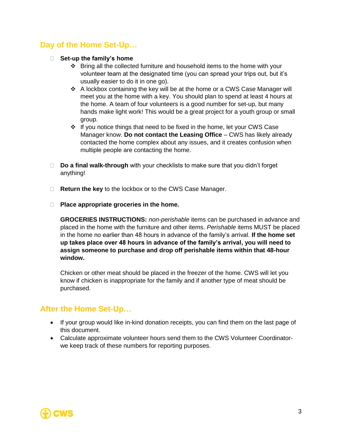# **Day of the Home Set-Up…**

- **Set-up the family's home**
	- ❖ Bring all the collected furniture and household items to the home with your volunteer team at the designated time (you can spread your trips out, but it's usually easier to do it in one go).
	- ❖ A lockbox containing the key will be at the home or a CWS Case Manager will meet you at the home with a key. You should plan to spend at least 4 hours at the home. A team of four volunteers is a good number for set-up, but many hands make light work! This would be a great project for a youth group or small group.
	- ❖ If you notice things that need to be fixed in the home, let your CWS Case Manager know. **Do not contact the Leasing Office** – CWS has likely already contacted the home complex about any issues, and it creates confusion when multiple people are contacting the home.
- **Do a final walk-through** with your checklists to make sure that you didn't forget anything!
- □ **Return the key** to the lockbox or to the CWS Case Manager.
- **Place appropriate groceries in the home.**

**GROCERIES INSTRUCTIONS:** *non-perishable* items can be purchased in advance and placed in the home with the furniture and other items. *Perishable* items MUST be placed in the home no earlier than 48 hours in advance of the family's arrival. **If the home set up takes place over 48 hours in advance of the family's arrival, you will need to assign someone to purchase and drop off perishable items within that 48-hour window.**

Chicken or other meat should be placed in the freezer of the home. CWS will let you know if chicken is inappropriate for the family and if another type of meat should be purchased.

## **After the Home Set-Up…**

- If your group would like in-kind donation receipts, you can find them on the last page of this document.
- Calculate approximate volunteer hours send them to the CWS Volunteer Coordinatorwe keep track of these numbers for reporting purposes.

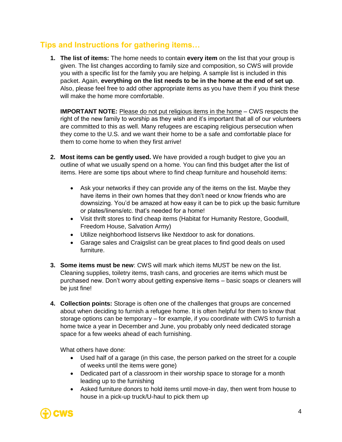# **Tips and Instructions for gathering items…**

**1. The list of items:** The home needs to contain **every item** on the list that your group is given. The list changes according to family size and composition, so CWS will provide you with a specific list for the family you are helping. A sample list is included in this packet. Again, **everything on the list needs to be in the home at the end of set up**. Also, please feel free to add other appropriate items as you have them if you think these will make the home more comfortable.

**IMPORTANT NOTE:** Please do not put religious items in the home – CWS respects the right of the new family to worship as they wish and it's important that all of our volunteers are committed to this as well. Many refugees are escaping religious persecution when they come to the U.S. and we want their home to be a safe and comfortable place for them to come home to when they first arrive!

- **2. Most items can be gently used.** We have provided a rough budget to give you an outline of what we usually spend on a home. You can find this budget after the list of items. Here are some tips about where to find cheap furniture and household items:
	- Ask your networks if they can provide any of the items on the list. Maybe they have items in their own homes that they don't need or know friends who are downsizing. You'd be amazed at how easy it can be to pick up the basic furniture or plates/linens/etc. that's needed for a home!
	- Visit thrift stores to find cheap items (Habitat for Humanity Restore, Goodwill, Freedom House, Salvation Army)
	- Utilize neighborhood listservs like Nextdoor to ask for donations.
	- Garage sales and Craigslist can be great places to find good deals on used furniture.
- **3. Some items must be new**: CWS will mark which items MUST be new on the list. Cleaning supplies, toiletry items, trash cans, and groceries are items which must be purchased new. Don't worry about getting expensive items – basic soaps or cleaners will be just fine!
- **4. Collection points:** Storage is often one of the challenges that groups are concerned about when deciding to furnish a refugee home. It is often helpful for them to know that storage options can be temporary – for example, if you coordinate with CWS to furnish a home twice a year in December and June, you probably only need dedicated storage space for a few weeks ahead of each furnishing.

What others have done:

- Used half of a garage (in this case, the person parked on the street for a couple of weeks until the items were gone)
- Dedicated part of a classroom in their worship space to storage for a month leading up to the furnishing
- Asked furniture donors to hold items until move-in day, then went from house to house in a pick-up truck/U-haul to pick them up

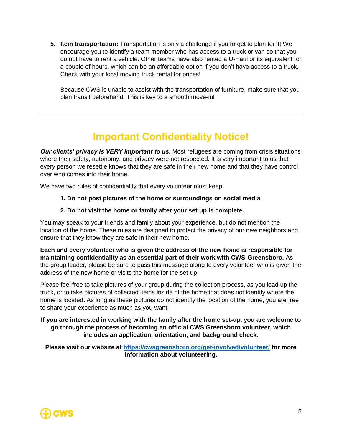**5. Item transportation:** Transportation is only a challenge if you forget to plan for it! We encourage you to identify a team member who has access to a truck or van so that you do not have to rent a vehicle. Other teams have also rented a U-Haul or its equivalent for a couple of hours, which can be an affordable option if you don't have access to a truck. Check with your local moving truck rental for prices!

Because CWS is unable to assist with the transportation of furniture, make sure that you plan transit beforehand. This is key to a smooth move-in!

# **Important Confidentiality Notice!**

*Our clients' privacy is VERY important to us.* Most refugees are coming from crisis situations where their safety, autonomy, and privacy were not respected. It is very important to us that every person we resettle knows that they are safe in their new home and that they have control over who comes into their home.

We have two rules of confidentiality that every volunteer must keep:

#### **1. Do not post pictures of the home or surroundings on social media**

#### **2. Do not visit the home or family after your set up is complete.**

You may speak to your friends and family about your experience, but do not mention the location of the home. These rules are designed to protect the privacy of our new neighbors and ensure that they know they are safe in their new home.

**Each and every volunteer who is given the address of the new home is responsible for maintaining confidentiality as an essential part of their work with CWS-Greensboro.** As the group leader, please be sure to pass this message along to every volunteer who is given the address of the new home or visits the home for the set-up.

Please feel free to take pictures of your group during the collection process, as you load up the truck, or to take pictures of collected items inside of the home that does not identify where the home is located**.** As long as these pictures do not identify the location of the home, you are free to share your experience as much as you want!

#### **If you are interested in working with the family after the home set-up, you are welcome to go through the process of becoming an official CWS Greensboro volunteer, which includes an application, orientation, and background check.**

**Please visit our website at<https://cwsgreensboro.org/get-involved/volunteer/> for more information about volunteering.**

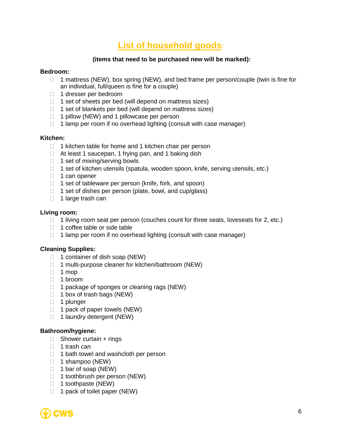# **List of household goods:**

#### **(items that need to be purchased new will be marked):**

#### **Bedroom:**

- $\Box$  1 mattress (NEW), box spring (NEW), and bed frame per person/couple (twin is fine for an individual, full/queen is fine for a couple)
- 1 dresser per bedroom
- $\Box$  1 set of sheets per bed (will depend on mattress sizes)
- $\Box$  1 set of blankets per bed (will depend on mattress sizes)
- $\Box$  1 pillow (NEW) and 1 pillowcase per person
- $\Box$  1 lamp per room if no overhead lighting (consult with case manager)

#### **Kitchen:**

- $\Box$  1 kitchen table for home and 1 kitchen chair per person
- □ At least 1 saucepan, 1 frying pan, and 1 baking dish
- $\Box$  1 set of mixing/serving bowls
- □ 1 set of kitchen utensils (spatula, wooden spoon, knife, serving utensils, etc.)
- $\Box$  1 can opener
- $\Box$  1 set of tableware per person (knife, fork, and spoon)
- $\Box$  1 set of dishes per person (plate, bowl, and cup/glass)
- $\Box$  1 large trash can

#### **Living room:**

- $\Box$  1 living room seat per person (couches count for three seats, loveseats for 2, etc.)
- 1 coffee table or side table
- $\Box$  1 lamp per room if no overhead lighting (consult with case manager)

#### **Cleaning Supplies:**

- $\Box$  1 container of dish soap (NEW)
- $\Box$  1 multi-purpose cleaner for kitchen/bathroom (NEW)
- $\Box$  1 mop
- 1 broom
- $\Box$  1 package of sponges or cleaning rags (NEW)
- $\Box$  1 box of trash bags (NEW)
- □ 1 plunger
- $\Box$  1 pack of paper towels (NEW)
- $\Box$  1 laundry detergent (NEW)

#### **Bathroom/hygiene:**

- $\Box$  Shower curtain + rings
- $\Box$  1 trash can
- $\Box$  1 bath towel and washcloth per person
- $\Box$  1 shampoo (NEW)
- $\Box$  1 bar of soap (NEW)
- $\Box$  1 toothbrush per person (NEW)
- $\Box$  1 toothpaste (NEW)
- $\Box$  1 pack of toilet paper (NEW)

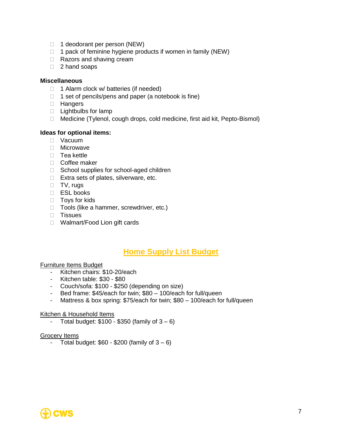- $\Box$  1 deodorant per person (NEW)
- $\Box$  1 pack of feminine hygiene products if women in family (NEW)
- □ Razors and shaving cream
- □ 2 hand soaps

#### **Miscellaneous**

- $\Box$  1 Alarm clock w/ batteries (if needed)
- $\Box$  1 set of pencils/pens and paper (a notebook is fine)
- **Hangers**
- $\Box$  Lightbulbs for lamp
- Medicine (Tylenol, cough drops, cold medicine, first aid kit, Pepto-Bismol)

#### **Ideas for optional items:**

- Vacuum
- □ Microwave
- $\Box$  Tea kettle
- Coffee maker
- $\Box$  School supplies for school-aged children
- □ Extra sets of plates, silverware, etc.
- □ TV, rugs
- ESL books
- □ Toys for kids
- □ Tools (like a hammer, screwdriver, etc.)
- **D** Tissues
- □ Walmart/Food Lion gift cards

## **Home Supply List Budget**

#### Furniture Items Budget

- Kitchen chairs: \$10-20/each
- Kitchen table: \$30 \$80
- Couch/sofa: \$100 \$250 (depending on size)
- Bed frame: \$45/each for twin; \$80 100/each for full/queen
- Mattress & box spring: \$75/each for twin; \$80 100/each for full/queen

#### Kitchen & Household Items

- Total budget:  $$100 - $350$  (family of  $3 - 6$ )

#### Grocery Items

- Total budget:  $$60 - $200$  (family of  $3 - 6$ )

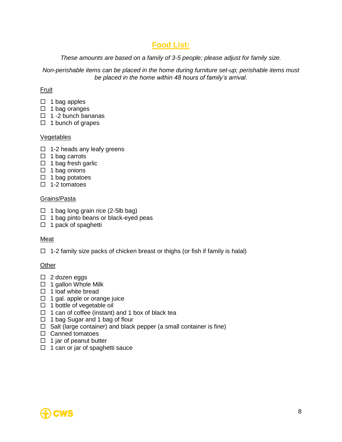# **Food List:**

*These amounts are based on a family of 3-5 people; please adjust for family size.* 

*Non-perishable items can be placed in the home during furniture set-up; perishable items must be placed in the home within 48 hours of family's arrival.* 

#### Fruit

- $\Box$  1 bag apples
- $\Box$  1 bag oranges
- $\Box$  1 -2 bunch bananas
- $\Box$  1 bunch of grapes

#### Vegetables

- $\Box$  1-2 heads any leafy greens
- $\Box$  1 bag carrots
- $\Box$  1 bag fresh garlic
- $\Box$  1 bag onions
- $\Box$  1 bag potatoes
- $\Box$  1-2 tomatoes

#### Grains/Pasta

- $\Box$  1 bag long grain rice (2-5lb bag)
- $\Box$  1 bag pinto beans or black-eyed peas
- $\Box$  1 pack of spaghetti

#### **Meat**

 $\Box$  1-2 family size packs of chicken breast or thighs (or fish if family is halal)

#### **Other**

- $\Box$  2 dozen eggs
- $\Box$  1 gallon Whole Milk
- $\Box$  1 loaf white bread
- $\Box$  1 gal. apple or orange juice
- $\Box$  1 bottle of vegetable oil
- $\Box$  1 can of coffee (instant) and 1 box of black tea
- $\Box$  1 bag Sugar and 1 bag of flour
- $\Box$  Salt (large container) and black pepper (a small container is fine)
- $\Box$  Canned tomatoes
- $\Box$  1 jar of peanut butter
- $\Box$  1 can or jar of spaghetti sauce